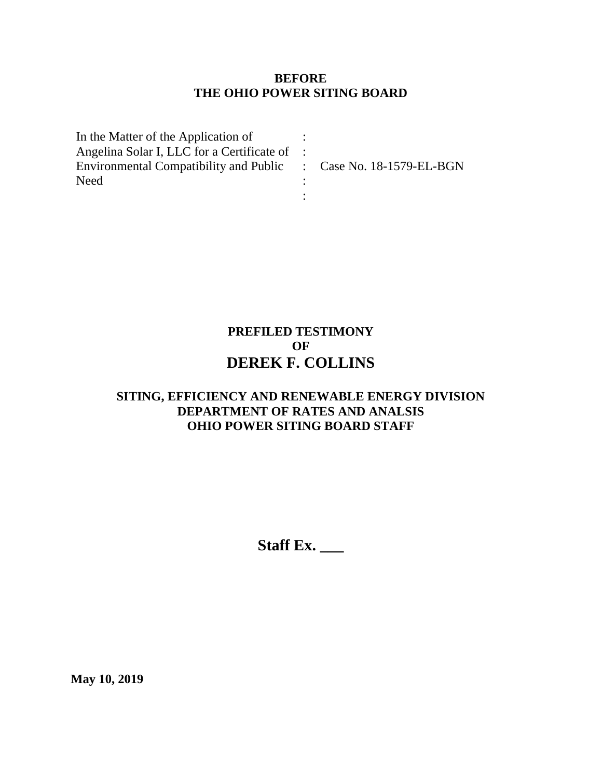## **BEFORE THE OHIO POWER SITING BOARD**

| In the Matter of the Application of                              |  |
|------------------------------------------------------------------|--|
| Angelina Solar I, LLC for a Certificate of :                     |  |
| Environmental Compatibility and Public : Case No. 18-1579-EL-BGN |  |
| <b>Need</b>                                                      |  |
|                                                                  |  |

## **PREFILED TESTIMONY OF DEREK F. COLLINS**

## **SITING, EFFICIENCY AND RENEWABLE ENERGY DIVISION DEPARTMENT OF RATES AND ANALSIS OHIO POWER SITING BOARD STAFF**

**Staff Ex. \_\_\_**

**May 10, 2019**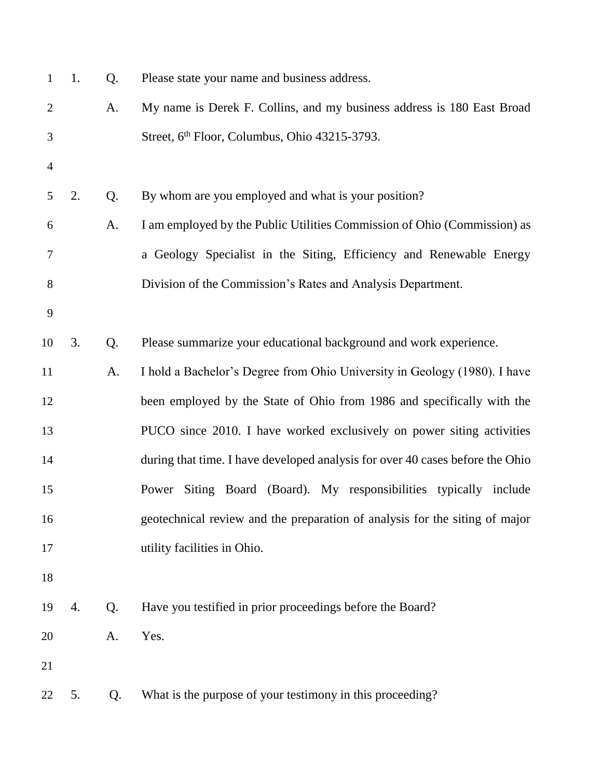| $\mathbf{1}$   | 1. | Q. | Please state your name and business address.                                  |
|----------------|----|----|-------------------------------------------------------------------------------|
| $\overline{2}$ |    | A. | My name is Derek F. Collins, and my business address is 180 East Broad        |
| 3              |    |    | Street, 6 <sup>th</sup> Floor, Columbus, Ohio 43215-3793.                     |
| $\overline{4}$ |    |    |                                                                               |
| 5              | 2. | Q. | By whom are you employed and what is your position?                           |
| 6              |    | A. | I am employed by the Public Utilities Commission of Ohio (Commission) as      |
| 7              |    |    | a Geology Specialist in the Siting, Efficiency and Renewable Energy           |
| 8              |    |    | Division of the Commission's Rates and Analysis Department.                   |
| 9              |    |    |                                                                               |
| 10             | 3. | Q. | Please summarize your educational background and work experience.             |
| 11             |    | A. | I hold a Bachelor's Degree from Ohio University in Geology (1980). I have     |
| 12             |    |    | been employed by the State of Ohio from 1986 and specifically with the        |
| 13             |    |    | PUCO since 2010. I have worked exclusively on power siting activities         |
| 14             |    |    | during that time. I have developed analysis for over 40 cases before the Ohio |
| 15             |    |    | Siting Board (Board). My responsibilities typically include<br>Power          |
| 16             |    |    | geotechnical review and the preparation of analysis for the siting of major   |
| 17             |    |    | utility facilities in Ohio.                                                   |
| 18             |    |    |                                                                               |
| 19             | 4. | Q. | Have you testified in prior proceedings before the Board?                     |
| 20             |    | A. | Yes.                                                                          |
| 21             |    |    |                                                                               |
| 22             | 5. | Q. | What is the purpose of your testimony in this proceeding?                     |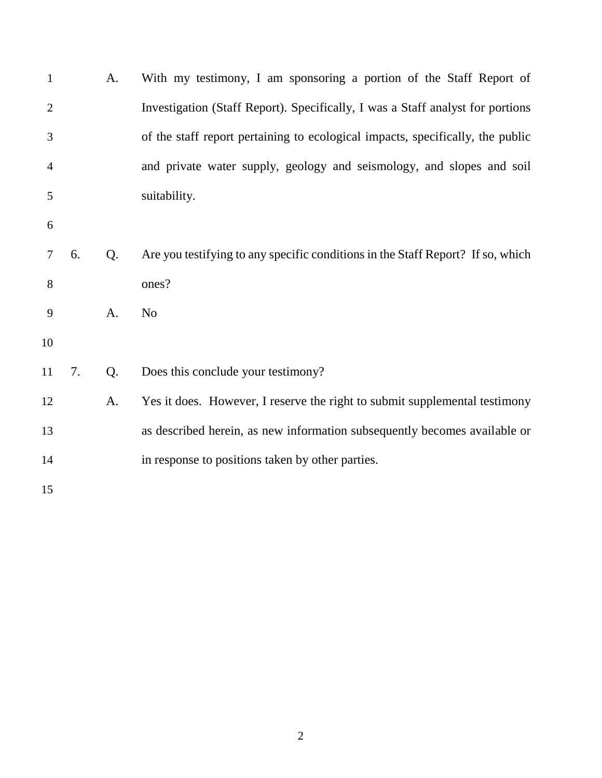| $\mathbf{1}$   |    | A.             | With my testimony, I am sponsoring a portion of the Staff Report of             |
|----------------|----|----------------|---------------------------------------------------------------------------------|
| $\overline{2}$ |    |                | Investigation (Staff Report). Specifically, I was a Staff analyst for portions  |
| 3              |    |                | of the staff report pertaining to ecological impacts, specifically, the public  |
| $\overline{4}$ |    |                | and private water supply, geology and seismology, and slopes and soil           |
| 5              |    |                | suitability.                                                                    |
| 6              |    |                |                                                                                 |
| 7              | 6. | Q <sub>1</sub> | Are you testifying to any specific conditions in the Staff Report? If so, which |
| 8              |    |                | ones?                                                                           |
| 9              |    | A.             | N <sub>o</sub>                                                                  |
| 10             |    |                |                                                                                 |
| 11             | 7. | Q.             | Does this conclude your testimony?                                              |
| 12             |    | A.             | Yes it does. However, I reserve the right to submit supplemental testimony      |
| 13             |    |                | as described herein, as new information subsequently becomes available or       |
| 14             |    |                | in response to positions taken by other parties.                                |
| 15             |    |                |                                                                                 |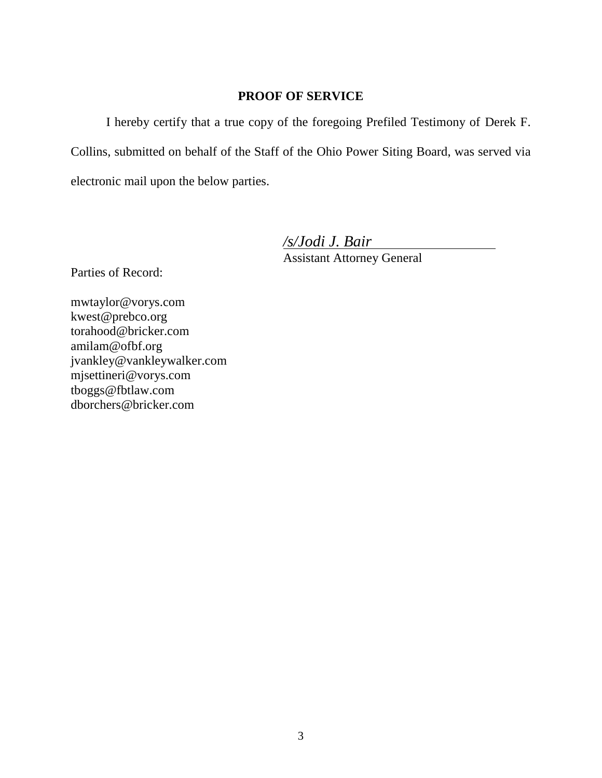## **PROOF OF SERVICE**

I hereby certify that a true copy of the foregoing Prefiled Testimony of Derek F. Collins, submitted on behalf of the Staff of the Ohio Power Siting Board, was served via electronic mail upon the below parties.

*/s/Jodi J. Bair*

Assistant Attorney General

Parties of Record:

mwtaylor@vorys.com [kwest@prebco.org](mailto:kwest@prebco.org) [torahood@bricker.com](mailto:torahood@bricker.com) [amilam@ofbf.org](mailto:amilam@ofbf.org) [jvankley@vankleywalker.com](mailto:jvankley@vankleywalker.com) [mjsettineri@vorys.com](mailto:mjsettineri@vorys.com) [tboggs@fbtlaw.com](mailto:tboggs@fbtlaw.com) [dborchers@bricker.com](mailto:dborchers@bricker.com)